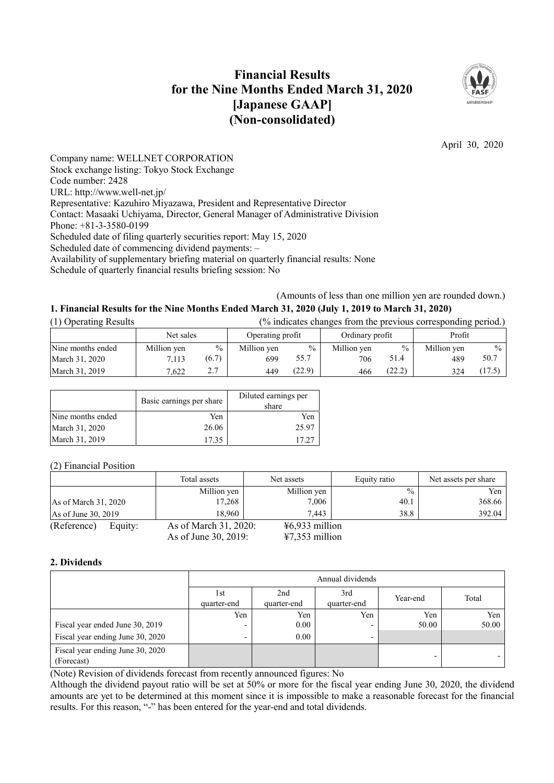# **Financial Results for the Nine Months Ended March 31, 2020 [Japanese GAAP] (Non-consolidated)**



April 30, 2020

Company name: WELLNET CORPORATION Stock exchange listing: Tokyo Stock Exchange Code number: 2428 URL: http://www.well-net.jp/ Representative: Kazuhiro Miyazawa, President and Representative Director Contact: Masaaki Uchiyama, Director, General Manager of Administrative Division Phone: +81-3-3580-0199 Scheduled date of filing quarterly securities report: May 15, 2020 Scheduled date of commencing dividend payments: – Availability of supplementary briefing material on quarterly financial results: None Schedule of quarterly financial results briefing session: No

(Amounts of less than one million yen are rounded down.)

# **1. Financial Results for the Nine Months Ended March 31, 2020 (July 1, 2019 to March 31, 2020)**

| (1) Operating Results | (% indicates changes from the previous corresponding period.) |               |                  |               |                 |               |             |               |
|-----------------------|---------------------------------------------------------------|---------------|------------------|---------------|-----------------|---------------|-------------|---------------|
|                       | Net sales                                                     |               | Operating profit |               | Ordinary profit |               | Profit      |               |
| Nine months ended     | Million yen                                                   | $\frac{0}{0}$ | Million yen      | $\frac{0}{0}$ | Million ven     | $\frac{0}{0}$ | Million yen | $\frac{0}{0}$ |
| March 31, 2020        | 7.113                                                         | (6.7)         | 699              | 55.7          | 706             | 51.4          | 489         | 50.7          |
| March 31, 2019        | 7.622                                                         | 2.7           | 449              | (22.9)        | 466             | (22.2)        | 324         | (17.5)        |

|                   | Basic earnings per share | Diluted earnings per<br>share |
|-------------------|--------------------------|-------------------------------|
| Nine months ended | Yen                      | Yen                           |
| March 31, 2020    | 26.06                    | 25.97                         |
| March 31, 2019    | 17.35                    | 17.27                         |

(2) Financial Position

|                        | Total assets          | Net assets                          | Equity ratio  | Net assets per share |
|------------------------|-----------------------|-------------------------------------|---------------|----------------------|
|                        | Million yen           | Million yen                         | $\frac{0}{0}$ | Yen                  |
| As of March $31, 2020$ | 17,268                | 7,006                               | 40.1          | 368.66               |
| As of June 30, 2019    | 18.960                | 7.443                               | 38.8          | 392.04               |
| (Reference)<br>Equity: | As of March 31, 2020: | $46,933$ million                    |               |                      |
|                        | As of June 30, 2019:  | $\text{\textsterling}7,353$ million |               |                      |

# **2. Dividends**

|                                                | Annual dividends         |                    |                    |          |       |
|------------------------------------------------|--------------------------|--------------------|--------------------|----------|-------|
|                                                | 1st<br>quarter-end       | 2nd<br>quarter-end | 3rd<br>quarter-end | Year-end | Total |
|                                                | Yen                      | Yen                | Yen                | Yen      | Yen   |
| Fiscal year ended June 30, 2019                | $\overline{\phantom{0}}$ | 0.00               |                    | 50.00    | 50.00 |
| Fiscal year ending June 30, 2020               | ٠                        | 0.00               |                    |          |       |
| Fiscal year ending June 30, 2020<br>(Forecast) |                          |                    |                    |          |       |

(Note) Revision of dividends forecast from recently announced figures: No

Although the dividend payout ratio will be set at 50% or more for the fiscal year ending June 30, 2020, the dividend amounts are yet to be determined at this moment since it is impossible to make a reasonable forecast for the financial results. For this reason, "-" has been entered for the year-end and total dividends.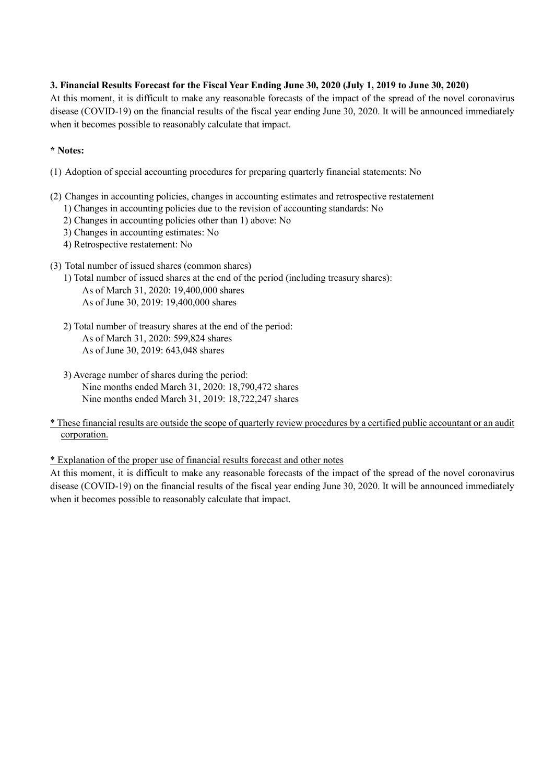# **3. Financial Results Forecast for the Fiscal Year Ending June 30, 2020 (July 1, 2019 to June 30, 2020)**

At this moment, it is difficult to make any reasonable forecasts of the impact of the spread of the novel coronavirus disease (COVID-19) on the financial results of the fiscal year ending June 30, 2020. It will be announced immediately when it becomes possible to reasonably calculate that impact.

# **\* Notes:**

- (1) Adoption of special accounting procedures for preparing quarterly financial statements: No
- (2) Changes in accounting policies, changes in accounting estimates and retrospective restatement
	- 1) Changes in accounting policies due to the revision of accounting standards: No
	- 2) Changes in accounting policies other than 1) above: No
	- 3) Changes in accounting estimates: No
	- 4) Retrospective restatement: No
- (3) Total number of issued shares (common shares)
	- 1) Total number of issued shares at the end of the period (including treasury shares): As of March 31, 2020: 19,400,000 shares As of June 30, 2019: 19,400,000 shares
	- 2) Total number of treasury shares at the end of the period: As of March 31, 2020: 599,824 shares As of June 30, 2019: 643,048 shares
	- 3) Average number of shares during the period: Nine months ended March 31, 2020: 18,790,472 shares Nine months ended March 31, 2019: 18,722,247 shares
- \* These financial results are outside the scope of quarterly review procedures by a certified public accountant or an audit corporation.

\* Explanation of the proper use of financial results forecast and other notes

At this moment, it is difficult to make any reasonable forecasts of the impact of the spread of the novel coronavirus disease (COVID-19) on the financial results of the fiscal year ending June 30, 2020. It will be announced immediately when it becomes possible to reasonably calculate that impact.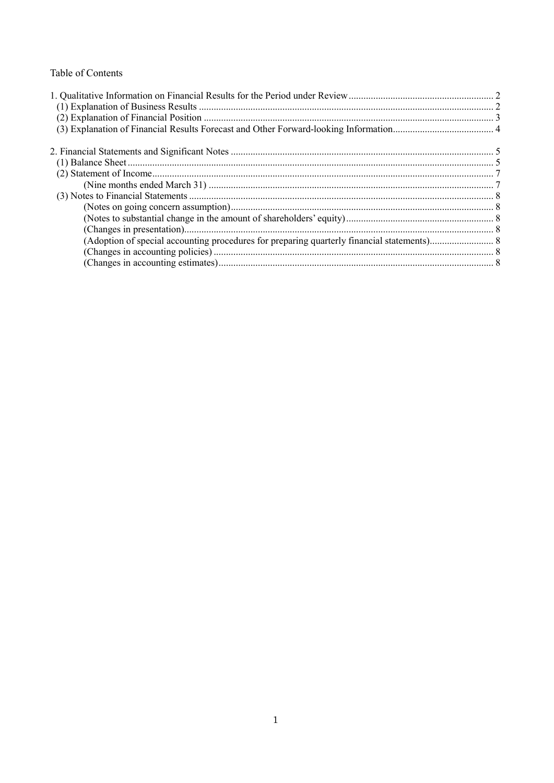# Table of Contents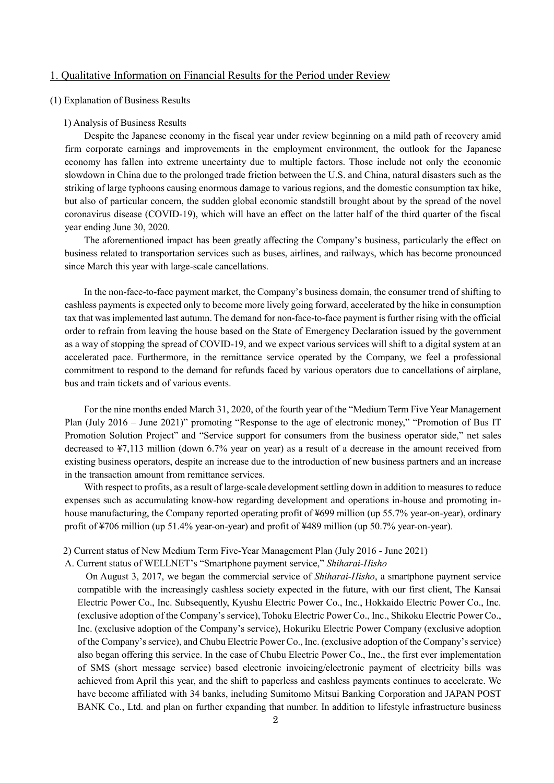# 1. Qualitative Information on Financial Results for the Period under Review

### (1) Explanation of Business Results

#### 1) Analysis of Business Results

Despite the Japanese economy in the fiscal year under review beginning on a mild path of recovery amid firm corporate earnings and improvements in the employment environment, the outlook for the Japanese economy has fallen into extreme uncertainty due to multiple factors. Those include not only the economic slowdown in China due to the prolonged trade friction between the U.S. and China, natural disasters such as the striking of large typhoons causing enormous damage to various regions, and the domestic consumption tax hike, but also of particular concern, the sudden global economic standstill brought about by the spread of the novel coronavirus disease (COVID-19), which will have an effect on the latter half of the third quarter of the fiscal year ending June 30, 2020.

The aforementioned impact has been greatly affecting the Company's business, particularly the effect on business related to transportation services such as buses, airlines, and railways, which has become pronounced since March this year with large-scale cancellations.

In the non-face-to-face payment market, the Company's business domain, the consumer trend of shifting to cashless payments is expected only to become more lively going forward, accelerated by the hike in consumption tax that was implemented last autumn. The demand for non-face-to-face payment is further rising with the official order to refrain from leaving the house based on the State of Emergency Declaration issued by the government as a way of stopping the spread of COVID-19, and we expect various services will shift to a digital system at an accelerated pace. Furthermore, in the remittance service operated by the Company, we feel a professional commitment to respond to the demand for refunds faced by various operators due to cancellations of airplane, bus and train tickets and of various events.

For the nine months ended March 31, 2020, of the fourth year of the "Medium Term Five Year Management Plan (July 2016 – June 2021)" promoting "Response to the age of electronic money," "Promotion of Bus IT Promotion Solution Project" and "Service support for consumers from the business operator side," net sales decreased to ¥7,113 million (down 6.7% year on year) as a result of a decrease in the amount received from existing business operators, despite an increase due to the introduction of new business partners and an increase in the transaction amount from remittance services.

With respect to profits, as a result of large-scale development settling down in addition to measures to reduce expenses such as accumulating know-how regarding development and operations in-house and promoting inhouse manufacturing, the Company reported operating profit of ¥699 million (up 55.7% year-on-year), ordinary profit of ¥706 million (up 51.4% year-on-year) and profit of ¥489 million (up 50.7% year-on-year).

2) Current status of New Medium Term Five-Year Management Plan (July 2016 - June 2021)

A. Current status of WELLNET's "Smartphone payment service," *Shiharai-Hisho*

On August 3, 2017, we began the commercial service of *Shiharai-Hisho*, a smartphone payment service compatible with the increasingly cashless society expected in the future, with our first client, The Kansai Electric Power Co., Inc. Subsequently, Kyushu Electric Power Co., Inc., Hokkaido Electric Power Co., Inc. (exclusive adoption of the Company's service), Tohoku Electric Power Co., Inc., Shikoku Electric Power Co., Inc. (exclusive adoption of the Company's service), Hokuriku Electric Power Company (exclusive adoption of the Company's service), and Chubu Electric Power Co., Inc. (exclusive adoption of the Company's service) also began offering this service. In the case of Chubu Electric Power Co., Inc., the first ever implementation of SMS (short message service) based electronic invoicing/electronic payment of electricity bills was achieved from April this year, and the shift to paperless and cashless payments continues to accelerate. We have become affiliated with 34 banks, including Sumitomo Mitsui Banking Corporation and JAPAN POST BANK Co., Ltd. and plan on further expanding that number. In addition to lifestyle infrastructure business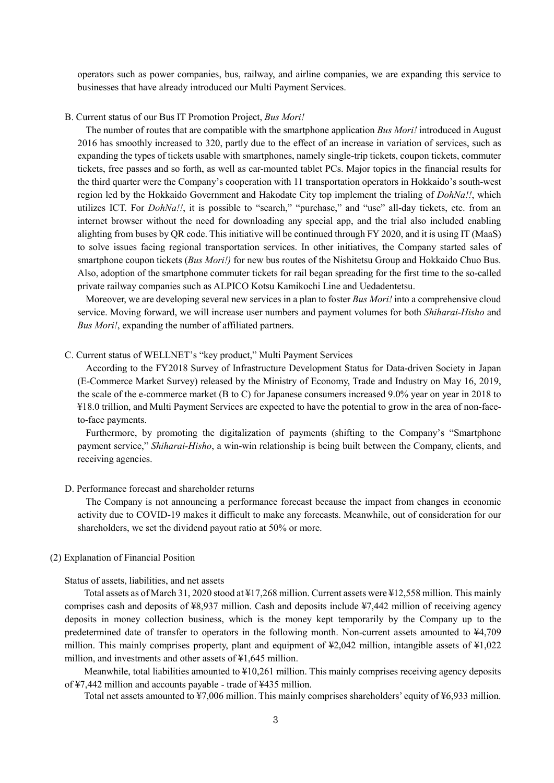operators such as power companies, bus, railway, and airline companies, we are expanding this service to businesses that have already introduced our Multi Payment Services.

## B. Current status of our Bus IT Promotion Project, *Bus Mori!*

The number of routes that are compatible with the smartphone application *Bus Mori!* introduced in August 2016 has smoothly increased to 320, partly due to the effect of an increase in variation of services, such as expanding the types of tickets usable with smartphones, namely single-trip tickets, coupon tickets, commuter tickets, free passes and so forth, as well as car-mounted tablet PCs. Major topics in the financial results for the third quarter were the Company's cooperation with 11 transportation operators in Hokkaido's south-west region led by the Hokkaido Government and Hakodate City top implement the trialing of *DohNa!!*, which utilizes ICT. For *DohNa!!*, it is possible to "search," "purchase," and "use" all-day tickets, etc. from an internet browser without the need for downloading any special app, and the trial also included enabling alighting from buses by QR code. This initiative will be continued through FY 2020, and it is using IT (MaaS) to solve issues facing regional transportation services. In other initiatives, the Company started sales of smartphone coupon tickets (*Bus Mori!)* for new bus routes of the Nishitetsu Group and Hokkaido Chuo Bus. Also, adoption of the smartphone commuter tickets for rail began spreading for the first time to the so-called private railway companies such as ALPICO Kotsu Kamikochi Line and Uedadentetsu.

Moreover, we are developing several new services in a plan to foster *Bus Mori!* into a comprehensive cloud service. Moving forward, we will increase user numbers and payment volumes for both *Shiharai-Hisho* and *Bus Mori!*, expanding the number of affiliated partners.

C. Current status of WELLNET's "key product," Multi Payment Services

According to the FY2018 Survey of Infrastructure Development Status for Data-driven Society in Japan (E-Commerce Market Survey) released by the Ministry of Economy, Trade and Industry on May 16, 2019, the scale of the e-commerce market (B to C) for Japanese consumers increased 9.0% year on year in 2018 to ¥18.0 trillion, and Multi Payment Services are expected to have the potential to grow in the area of non-faceto-face payments.

Furthermore, by promoting the digitalization of payments (shifting to the Company's "Smartphone payment service," *Shiharai-Hisho*, a win-win relationship is being built between the Company, clients, and receiving agencies.

### D. Performance forecast and shareholder returns

The Company is not announcing a performance forecast because the impact from changes in economic activity due to COVID-19 makes it difficult to make any forecasts. Meanwhile, out of consideration for our shareholders, we set the dividend payout ratio at 50% or more.

### (2) Explanation of Financial Position

Status of assets, liabilities, and net assets

Total assets as of March 31, 2020 stood at ¥17,268 million. Current assets were ¥12,558 million. This mainly comprises cash and deposits of ¥8,937 million. Cash and deposits include ¥7,442 million of receiving agency deposits in money collection business, which is the money kept temporarily by the Company up to the predetermined date of transfer to operators in the following month. Non-current assets amounted to ¥4,709 million. This mainly comprises property, plant and equipment of ¥2,042 million, intangible assets of ¥1,022 million, and investments and other assets of ¥1,645 million.

Meanwhile, total liabilities amounted to ¥10,261 million. This mainly comprises receiving agency deposits of ¥7,442 million and accounts payable - trade of ¥435 million.

Total net assets amounted to ¥7,006 million. This mainly comprises shareholders' equity of ¥6,933 million.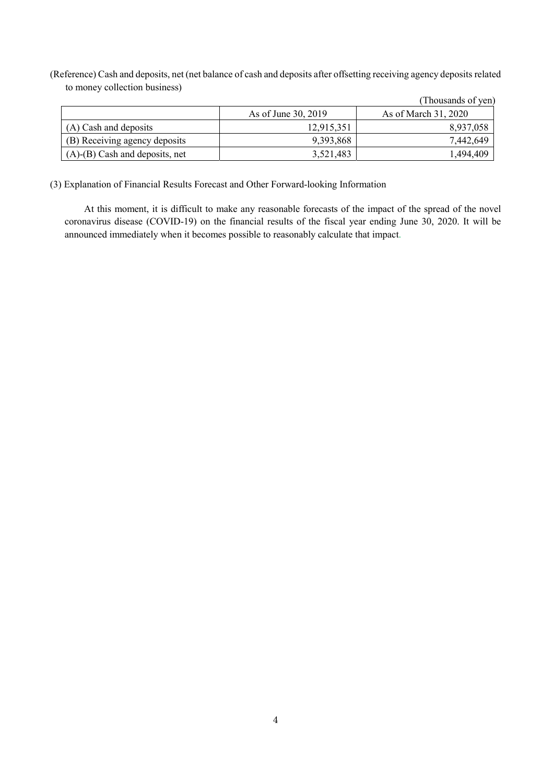(Reference) Cash and deposits, net (net balance of cash and deposits after offsetting receiving agency deposits related to money collection business)

|                                      | As of June 30, 2019 | As of March 31, 2020 |
|--------------------------------------|---------------------|----------------------|
| (A) Cash and deposits                | 12.915.351          | 8,937,058            |
| (B) Receiving agency deposits        | 9,393,868           | 7,442,649            |
| $(A)$ - $(B)$ Cash and deposits, net | 3,521,483           | 1,494,409            |

(Thousands of yen)

(3) Explanation of Financial Results Forecast and Other Forward-looking Information

At this moment, it is difficult to make any reasonable forecasts of the impact of the spread of the novel coronavirus disease (COVID-19) on the financial results of the fiscal year ending June 30, 2020. It will be announced immediately when it becomes possible to reasonably calculate that impact.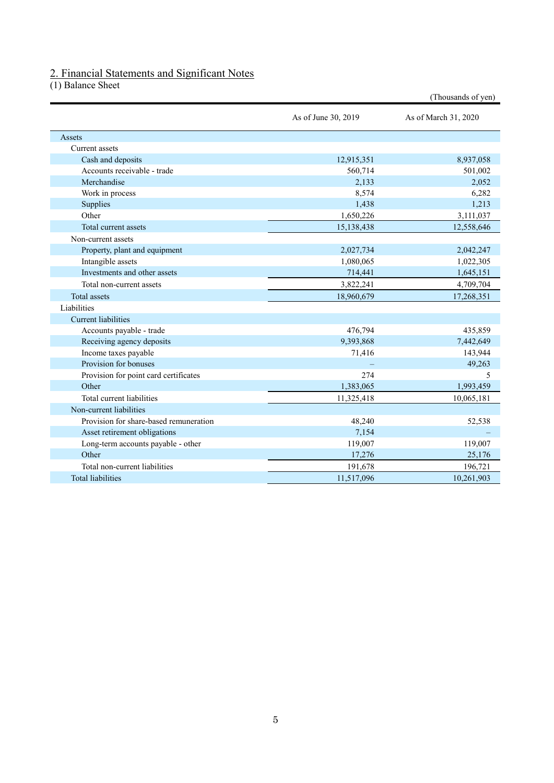# 2. Financial Statements and Significant Notes

(1) Balance Sheet

|                                        |                     | (Thousands of yen)   |
|----------------------------------------|---------------------|----------------------|
|                                        | As of June 30, 2019 | As of March 31, 2020 |
| Assets                                 |                     |                      |
| Current assets                         |                     |                      |
| Cash and deposits                      | 12,915,351          | 8,937,058            |
| Accounts receivable - trade            | 560,714             | 501,002              |
| Merchandise                            | 2,133               | 2,052                |
| Work in process                        | 8,574               | 6,282                |
| Supplies                               | 1,438               | 1,213                |
| Other                                  | 1,650,226           | 3,111,037            |
| Total current assets                   | 15,138,438          | 12,558,646           |
| Non-current assets                     |                     |                      |
| Property, plant and equipment          | 2,027,734           | 2,042,247            |
| Intangible assets                      | 1,080,065           | 1,022,305            |
| Investments and other assets           | 714,441             | 1,645,151            |
| Total non-current assets               | 3,822,241           | 4,709,704            |
| <b>Total</b> assets                    | 18,960,679          | 17,268,351           |
| Liabilities                            |                     |                      |
| <b>Current liabilities</b>             |                     |                      |
| Accounts payable - trade               | 476,794             | 435,859              |
| Receiving agency deposits              | 9,393,868           | 7,442,649            |
| Income taxes payable                   | 71,416              | 143,944              |
| Provision for bonuses                  |                     | 49,263               |
| Provision for point card certificates  | 274                 | 5                    |
| Other                                  | 1,383,065           | 1,993,459            |
| Total current liabilities              | 11,325,418          | 10,065,181           |
| Non-current liabilities                |                     |                      |
| Provision for share-based remuneration | 48,240              | 52,538               |
| Asset retirement obligations           | 7,154               |                      |
| Long-term accounts payable - other     | 119,007             | 119,007              |
| Other                                  | 17,276              | 25,176               |
| Total non-current liabilities          | 191,678             | 196,721              |
| <b>Total liabilities</b>               | 11,517,096          | 10,261,903           |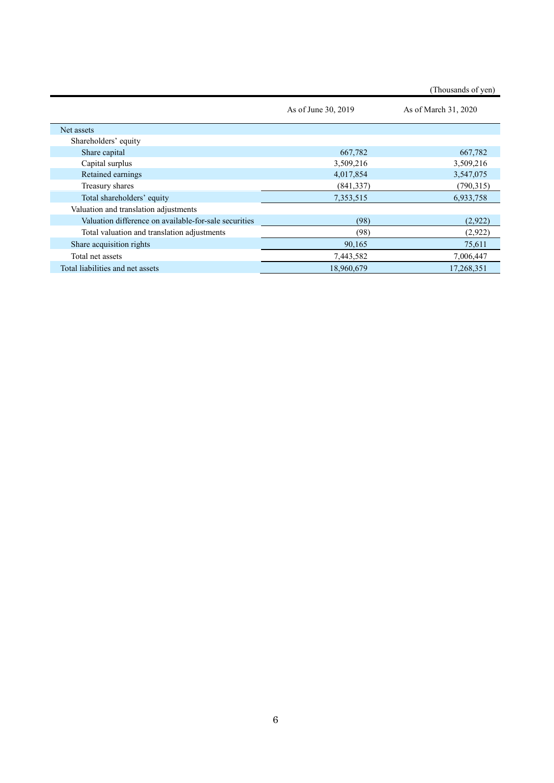|  | (Thousands of yen) |  |  |
|--|--------------------|--|--|
|--|--------------------|--|--|

|                                                       | As of June 30, 2019 | As of March 31, 2020 |
|-------------------------------------------------------|---------------------|----------------------|
| Net assets                                            |                     |                      |
| Shareholders' equity                                  |                     |                      |
| Share capital                                         | 667,782             | 667,782              |
| Capital surplus                                       | 3,509,216           | 3,509,216            |
| Retained earnings                                     | 4,017,854           | 3,547,075            |
| Treasury shares                                       | (841, 337)          | (790,315)            |
| Total shareholders' equity                            | 7,353,515           | 6,933,758            |
| Valuation and translation adjustments                 |                     |                      |
| Valuation difference on available-for-sale securities | (98)                | (2,922)              |
| Total valuation and translation adjustments           | (98)                | (2,922)              |
| Share acquisition rights                              | 90,165              | 75,611               |
| Total net assets                                      | 7,443,582           | 7,006,447            |
| Total liabilities and net assets                      | 18,960,679          | 17,268,351           |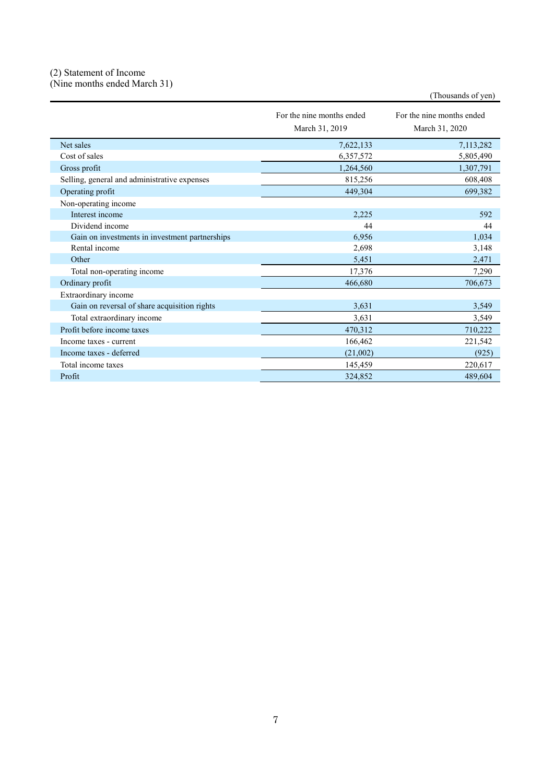### (2) Statement of Income (Nine months ended March 31)

|                                                | For the nine months ended<br>March 31, 2019 | For the nine months ended<br>March 31, 2020 |
|------------------------------------------------|---------------------------------------------|---------------------------------------------|
| Net sales                                      | 7,622,133                                   | 7,113,282                                   |
| Cost of sales                                  | 6,357,572                                   | 5,805,490                                   |
| Gross profit                                   | 1,264,560                                   | 1,307,791                                   |
| Selling, general and administrative expenses   | 815,256                                     | 608,408                                     |
| Operating profit                               | 449,304                                     | 699,382                                     |
| Non-operating income                           |                                             |                                             |
| Interest income                                | 2,225                                       | 592                                         |
| Dividend income                                | 44                                          | 44                                          |
| Gain on investments in investment partnerships | 6,956                                       | 1,034                                       |
| Rental income                                  | 2,698                                       | 3,148                                       |
| Other                                          | 5,451                                       | 2,471                                       |
| Total non-operating income                     | 17,376                                      | 7,290                                       |
| Ordinary profit                                | 466,680                                     | 706,673                                     |
| Extraordinary income                           |                                             |                                             |
| Gain on reversal of share acquisition rights   | 3,631                                       | 3,549                                       |
| Total extraordinary income                     | 3,631                                       | 3,549                                       |
| Profit before income taxes                     | 470,312                                     | 710,222                                     |
| Income taxes - current                         | 166,462                                     | 221,542                                     |
| Income taxes - deferred                        | (21,002)                                    | (925)                                       |
| Total income taxes                             | 145,459                                     | 220,617                                     |
| Profit                                         | 324,852                                     | 489,604                                     |

(Thousands of yen)

7